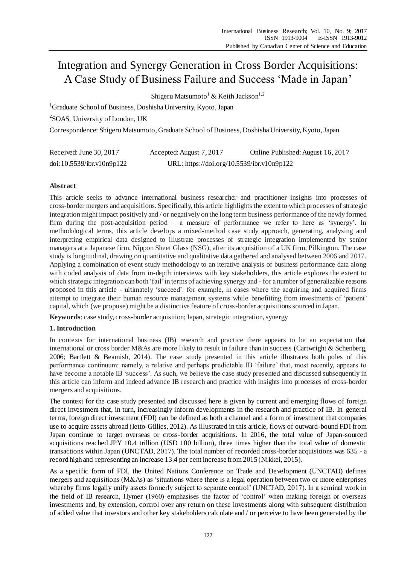# Integration and Synergy Generation in Cross Border Acquisitions: A Case Study of Business Failure and Success 'Made in Japan'

Shigeru Matsumoto<sup>1</sup> & Keith Jackson<sup>1,2</sup>

<sup>1</sup>Graduate School of Business, Doshisha University, Kyoto, Japan

<sup>2</sup>SOAS, University of London, UK

Correspondence: Shigeru Matsumoto, Graduate School of Business, Doshisha University, Kyoto, Japan.

| Received: June $30, 2017$ | Accepted: August 7, 2017                   | Online Published: August 16, 2017 |
|---------------------------|--------------------------------------------|-----------------------------------|
| doi:10.5539/ibr.v10n9p122 | URL: https://doi.org/10.5539/ibr.v10n9p122 |                                   |

# **Abstract**

This article seeks to advance international business researcher and practitioner insights into processes of cross-border mergers and acquisitions. Specifically, this article highlights the extent to which processes of strategic integration might impact positively and / or negatively on the long term business performance of the newly formed firm during the post-acquisition period – a measure of performance we refer to here as 'synergy'. In methodological terms, this article develops a mixed-method case study approach, generating, analysing and interpreting empirical data designed to illustrate processes of strategic integration implemented by senior managers at a Japanese firm, Nippon Sheet Glass (NSG), after its acquisition of a UK firm, Pilkington. The case study is longitudinal, drawing on quantitative and qualitative data gathered and analysed between 2006 and 2017. Applying a combination of event study methodology to an iterative analysis of business performance data along with coded analysis of data from in-depth interviews with key stakeholders, this article explores the extent to which strategic integration can both 'fail' in terms of achieving synergy and - for a number of generalizable reasons proposed in this article - ultimately 'succeed': for example, in cases where the acquiring and acquired firms attempt to integrate their human resource management systems while benefitting from investments of 'patient' capital, which (we propose) might be a distinctive feature of cross-border acquisitions sourced in Japan.

**Keywords**: case study, cross-border acquisition; Japan, strategic integration,synergy

### **1. Introduction**

In contexts for international business (IB) research and practice there appears to be an expectation that international or cross border M&As are more likely to result in failure than in success (Cartwright & Schenberg, 2006; Bartlett & Beamish, 2014). The case study presented in this article illustrates both poles of this performance continuum: namely, a relative and perhaps predictable IB 'failure' that, most recently, appears to have become a notable IB 'success'. As such, we believe the case study presented and discussed subsequently in this article can inform and indeed advance IB research and practice with insights into processes of cross-border mergers and acquisitions.

The context for the case study presented and discussed here is given by current and emerging flows of foreign direct investment that, in turn, increasingly inform developments in the research and practice of IB. In general terms, foreign direct investment (FDI) can be defined as both a channel and a form of investment that companies use to acquire assets abroad (Ietto-Gillies, 2012). As illustrated in this article, flows of outward-bound FDI from Japan continue to target overseas or cross-border acquisitions. In 2016, the total value of Japan-sourced acquisitions reached JPY 10.4 trillion (USD 100 billion), three times higher than the total value of domestic transactions within Japan (UNCTAD, 2017). The total number of recorded cross-border acquisitions was 635 - a record high and representing an increase 13.4 per cent increase from 2015 (Nikkei, 2015).

As a specific form of FDI, the United Nations Conference on Trade and Development (UNCTAD) defines mergers and acquisitions (M&As) as 'situations where there is a legal operation between two or more enterprises whereby firms legally unify assets formerly subject to separate control' (UNCTAD, 2017). In a seminal work in the field of IB research, Hymer (1960) emphasises the factor of 'control' when making foreign or overseas investments and, by extension, control over any return on these investments along with subsequent distribution of added value that investors and other key stakeholders calculate and / or perceive to have been generated by the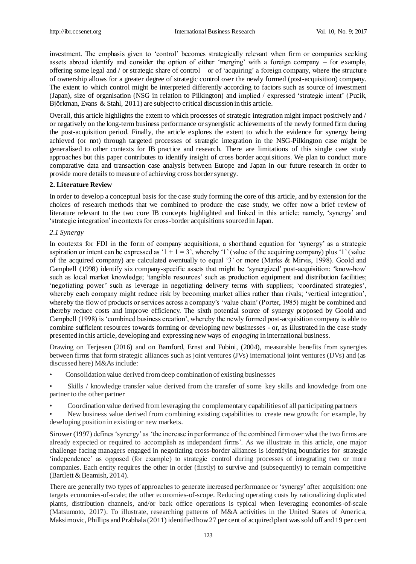investment. The emphasis given to 'control' becomes strategically relevant when firm or companies seeking assets abroad identify and consider the option of either 'merging' with a foreign company – for example, offering some legal and / or strategic share of control – or of 'acquiring' a foreign company, where the structure of ownership allows for a greater degree of strategic control over the newly formed (post-acquisition) company. The extent to which control might be interpreted differently according to factors such as source of investment (Japan), size of organisation (NSG in relation to Pilkington) and implied / expressed 'strategic intent' (Pucik, Björkman, Evans & Stahl, 2011) are subject to critical discussion in this article.

Overall, this article highlights the extent to which processes of strategic integration might impact positively and / or negatively on the long-term business performance or synergistic achievements of the newly formed firm during the post-acquisition period. Finally, the article explores the extent to which the evidence for synergy being achieved (or not) through targeted processes of strategic integration in the NSG-Pilkington case might be generalised to other contexts for IB practice and research. There are limitations of this single case study approaches but this paper contributes to identify insight of cross border acquisitions. We plan to conduct more comparative data and transaction case analysis between Europe and Japan in our future research in order to provide more details to measure of achieving cross border synergy.

### **2. Literature Review**

In order to develop a conceptual basis for the case study forming the core of this article, and by extension for the choices of research methods that we combined to produce the case study, we offer now a brief review of literature relevant to the two core IB concepts highlighted and linked in this article: namely, 'synergy' and 'strategic integration' in contexts for cross-border acquisitions sourced in Japan.

### *2.1 Synergy*

In contexts for FDI in the form of company acquisitions, a shorthand equation for 'synergy' as a strategic aspiration or intent can be expressed as '1 + 1 = 3', whereby '1' (value of the acquiring company) plus '1' (value of the acquired company) are calculated eventually to equal '3' or more (Marks & Mirvis, 1998). Goold and Campbell (1998) identify six company-specific assets that might be 'synergized' post-acquisition: 'know-how' such as local market knowledge; 'tangible resources' such as production equipment and distribution facilities; 'negotiating power' such as leverage in negotiating delivery terms with suppliers; 'coordinated strategies', whereby each company might reduce risk by becoming market allies rather than rivals; 'vertical integration', whereby the flow of products or services across a company's 'value chain' (Porter, 1985) might be combined and thereby reduce costs and improve efficiency. The sixth potential source of synergy proposed by Goold and Campbell (1998) is 'combined business creation', whereby the newly formed post-acquisition company is able to combine sufficient resources towards forming or developing new businesses - or, as illustrated in the case study presented in this article, developing and expressing new ways of *engaging* in international business.

Drawing on Terjesen (2016) and on Bamford, Ernst and Fubini, (2004), measurable benefits from synergies between firms that form strategic alliances such as joint ventures (JVs) international joint ventures (IJVs) and (as discussed here) M&As include:

• Consolidation value derived from deep combination of existing businesses

Skills / knowledge transfer value derived from the transfer of some key skills and knowledge from one partner to the other partner

• Coordination value derived from leveraging the complementary capabilities of all participating partners

• New business value derived from combining existing capabilities to create new growth: for example, by developing position in existing or new markets.

Sirower (1997) defines 'synergy' as 'the increase in performance of the combined firm over what the two firms are already expected or required to accomplish as independent firms'. As we illustrate in this article, one major challenge facing managers engaged in negotiating cross-border alliances is identifying boundaries for strategic 'independence' as opposed (for example) to strategic control during processes of integrating two or more companies. Each entity requires the other in order (firstly) to survive and (subsequently) to remain competitive (Bartlett & Beamish, 2014).

There are generally two types of approaches to generate increased performance or 'synergy' after acquisition: one targets economies-of-scale; the other economies-of-scope. Reducing operating costs by rationalizing duplicated plants, distribution channels, and/or back office operations is typical when leveraging economies-of-scale (Matsumoto, 2017). To illustrate, researching patterns of M&A activities in the United States of America, Maksimovic, Phillips and Prabhala (2011) identified how 27 per cent of acquired plant was sold off and 19 per cent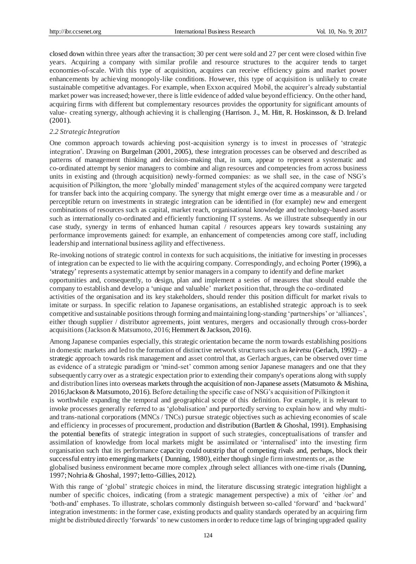closed down within three years after the transaction; 30 per cent were sold and 27 per cent were closed within five years. Acquiring a company with similar profile and resource structures to the acquirer tends to target economies-of-scale. With this type of acquisition, acquires can receive efficiency gains and market power enhancements by achieving monopoly-like conditions. However, this type of acquisition is unlikely to create sustainable competitive advantages. For example, when Exxon acquired Mobil, the acquirer's already substantial market power was increased; however, there is little evidence of added value beyond efficiency. On the other hand, acquiring firms with different but complementary resources provides the opportunity for significant amounts of value- creating synergy, although achieving it is challenging (Harrison. J., M. Hitt, R. Hoskinsson, & D. Ireland (2001).

#### *2.2 Strategic Integration*

One common approach towards achieving post-acquisition synergy is to invest in processes of 'strategic integration'. Drawing on Burgelman (2001, 2005), these integration processes can be observed and described as patterns of management thinking and decision-making that, in sum, appear to represent a systematic and co-ordinated attempt by senior managers to combine and align resources and competencies from across business units in existing and (through acquisition) newly-formed companies: as we shall see, in the case of NSG's acquisition of Pilkington, the more 'globally minded' management styles of the acquired company were targeted for transfer back into the acquiring company. The synergy that might emerge over time as a measurable and / or perceptible return on investments in strategic integration can be identified in (for example) new and emergent combinations of resources such as capital, market reach, organisational knowledge and technology-based assets such as internationally co-ordinated and efficiently functioning IT systems. As we illustrate subsequently in our case study, synergy in terms of enhanced human capital / resources appears key towards sustaining any performance improvements gained: for example, an enhancement of competencies among core staff, including leadership and international business agility and effectiveness.

Re-invoking notions of strategic control in contexts for such acquisitions, the initiative for investing in processes of integration can be expected to lie with the acquiring company. Correspondingly, and echoing Porter (1996), a 'strategy' represents a systematic attempt by senior managers in a company to identify and define market opportunities and, consequently, to design, plan and implement a series of measures that should enable the company to establish and develop a 'unique and valuable' market position that, through the co-ordinated activities of the organisation and its key stakeholders, should render this position difficult for market rivals to imitate or surpass. In specific relation to Japanese organisations, an established strategic approach is to seek competitive and sustainable positions through forming and maintaining long-standing 'partnerships' or 'alliances', either though supplier / distributor agreements, joint ventures, mergers and occasionally through cross-border acquisitions (Jackson & Matsumoto, 2016; Hemmert & Jackson, 2016).

Among Japanese companies especially, this strategic orientation became the norm towards establishing positions in domestic markets and led to the formation of distinctive network structures such as *keiretsu* (Gerlach, 1992) – a strategic approach towards risk management and asset control that, as Gerlach argues, can be observed over time as evidence of a strategic paradigm or 'mind-set' common among senior Japanese managers and one that they subsequently carry over as a strategic expectation prior to extending their company's operations along with supply and distribution lines into overseas markets through the acquisition of non-Japanese assets (Matsumoto & Mishina, 2016;Jackson & Matsumoto, 2016). Before detailing the specific case of NSG's acquisition of Pilkington it is worthwhile expanding the temporal and geographical scope of this definition. For example, it is relevant to invoke processes generally referred to as 'globalisation' and purportedly serving to explain how and why multiand trans-national corporations (MNCs / TNCs) pursue strategic objectives such as achieving economies of scale and efficiency in processes of procurement, production and distribution (Bartlett & Ghoshal, 1991). Emphasising the potential benefits of strategic integration in support of such strategies, conceptualisations of transfer and assimilation of knowledge from local markets might be assimilated or 'internalised' into the investing firm organisation such that its performance capacity could outstrip that of competing rivals and, perhaps, block their successful entry into emerging markets ( Dunning, 1980), either though single firm investments or, as the globalised business environment became more complex ,through select alliances with one-time rivals (Dunning, 1997; Nohria & Ghoshal, 1997; Ietto-Gillies, 2012).

With this range of 'global' strategic choices in mind, the literature discussing strategic integration highlight a number of specific choices, indicating (from a strategic management perspective) a mix of 'either /or' and 'both-and' emphases. To illustrate, scholars commonly distinguish between so-called 'forward' and 'backward' integration investments: in the former case, existing products and quality standards operated by an acquiring firm might be distributed directly 'forwards' to new customers in order to reduce time lags of bringing upgraded quality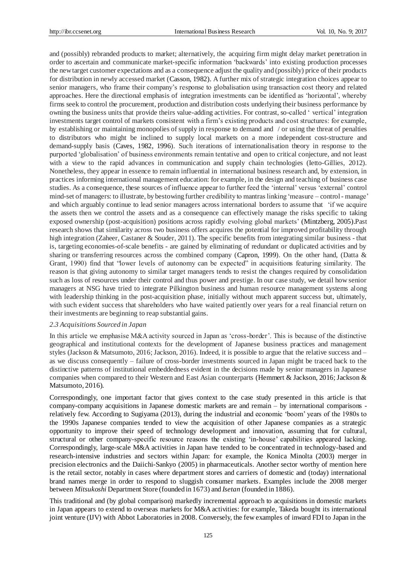and (possibly) rebranded products to market; alternatively, the acquiring firm might delay market penetration in order to ascertain and communicate market-specific information 'backwards' into existing production processes the new target customer expectations and as a consequence adjust the quality and (possibly) price of their products for distribution in newly accessed market (Casson, 1982). A further mix of strategic integration choices appear to senior managers, who frame their company's response to globalisation using transaction cost theory and related approaches. Here the directional emphasis of integration investments can be identified as 'horizontal', whereby firms seek to control the procurement, production and distribution costs underlying their business performance by owning the business units that provide theirs value-adding activities. For contrast, so-called ' vertical' integration investments target control of markets consistent with a firm's existing products and cost structures: for example, by establishing or maintaining monopolies of supply in response to demand and / or using the threat of penalties to distributors who might be inclined to supply local markets on a more independent cost-structure and demand-supply basis (Caves, 1982, 1996). Such iterations of internationalisation theory in response to the purported 'globalisation' of business environments remain tentative and open to critical conjecture, and not least with a view to the rapid advances in communication and supply chain technologies (Ietto-Gillies, 2012). Nonetheless, they appear in essence to remain influential in international business research and, by extension, in practices informing international management education: for example, in the design and teaching of business case studies. As a consequence, these sources of influence appear to further feed the 'internal' versus 'external' control mind-set of managers: to illustrate, by bestowing further credibility to mantras linking 'measure – control - manage' and which arguably continue to lead senior managers across international borders to assume that 'if we acquire the assets then we control the assets and as a consequence can effectively manage the risks specific to taking exposed ownership (post-acquisition) positions across rapidly evolving global markets' (Mintzberg, 2005).Past research shows that similarity across two business offers acquires the potential for improved profitability through high integration (Zaheer, Castaner & Souder, 2011). The specific benefits from integrating similar business - that is, targeting economies-of-scale benefits - are gained by eliminating of redundant or duplicated activities and by sharing or transferring resources across the combined company (Capron, 1999). On the other hand, (Datta & Grant, 1990) find that "lower levels of autonomy can be expected" in acquisitions featuring similarity. The reason is that giving autonomy to similar target managers tends to resist the changes required by consolidation such as loss of resources under their control and thus power and prestige. In our case study, we detail how senior managers at NSG have tried to integrate Pilkington business and human resource management systems along with leadership thinking in the post-acquisition phase, initially without much apparent success but, ultimately, with such evident success that shareholders who have waited patiently over years for a real financial return on their investments are beginning to reap substantial gains.

#### *2.3 Acquisitions Sourced in Japan*

In this article we emphasise M&A activity sourced in Japan as 'cross-border'. This is because of the distinctive geographical and institutional contexts for the development of Japanese business practices and management styles (Jackson & Matsumoto, 2016; Jackson, 2016). Indeed, it is possible to argue that the relative success and – as we discuss consequently – failure of cross-border investments sourced in Japan might be traced back to the distinctive patterns of institutional embeddedness evident in the decisions made by senior managers in Japanese companies when compared to their Western and East Asian counterparts (Hemmert & Jackson, 2016; Jackson & Matsumoto, 2016).

Correspondingly, one important factor that gives context to the case study presented in this article is that company-company acquisitions in Japanese domestic markets are and remain – by international comparisons relatively few. According to Sugiyama (2013), during the industrial and economic 'boom' years of the 1980s to the 1990s Japanese companies tended to view the acquisition of other Japanese companies as a strategic opportunity to improve their speed of technology development and innovation, assuming that for cultural, structural or other company-specific resource reasons the existing 'in-house' capabilities appeared lacking. Correspondingly, large-scale M&A activities in Japan have tended to be concentrated in technology-based and research-intensive industries and sectors within Japan: for example, the Konica Minolta (2003) merger in precision electronics and the Daiichi-Sankyo (2005) in pharmaceuticals. Another sector worthy of mention here is the retail sector, notably in cases where department stores and carriers of domestic and (today) international brand names merge in order to respond to sluggish consumer markets. Examples include the 2008 merger between *Mitsukoshi* Department Store (founded in 1673) and *Isetan* (founded in 1886).

This traditional and (by global comparison) markedly incremental approach to acquisitions in domestic markets in Japan appears to extend to overseas markets for M&A activities: for example, Takeda bought its international joint venture (IJV) with Abbot Laboratories in 2008. Conversely, the few examples of inward FDI to Japan in the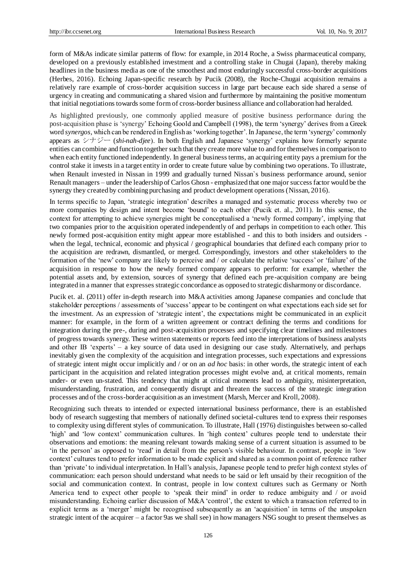form of M&As indicate similar patterns of flow: for example, in 2014 Roche, a Swiss pharmaceutical company, developed on a previously established investment and a controlling stake in Chugai (Japan), thereby making headlines in the business media as one of the smoothest and most enduringly successful cross-border acquisitions (Herbes, 2016). Echoing Japan-specific research by Pucik (2008), the Roche-Chugai acquisition remains a relatively rare example of cross-border acquisition success in large part because each side shared a sense of urgency in creating and communicating a shared vision and furthermore by maintaining the positive momentum that initial negotiations towards some form of cross-border business alliance and collaboration had heralded.

As highlighted previously, one commonly applied measure of positive business performance during the post-acquisition phase is 'synergy' Echoing Goold and Campbell (1998), the term 'synergy' derives from a Greek word *synergos,* which can be rendered in English as 'working together'. In Japanese, the term 'synergy' commonly appears as シナジー (*shi-nah-djee*). In both English and Japanese 'synergy' explains how formerly separate entities can combine and function together such that they create more value to and for themselves in comparison to when each entity functioned independently. In general business terms, an acquiring entity pays a premium for the control stake it invests in a target entity in order to create future value by combining two operations. To illustrate, when Renault invested in Nissan in 1999 and gradually turned Nissan`s business performance around, senior Renault managers – under the leadership of Carlos Ghosn - emphasized that one major success factor would be the synergy they created by combining purchasing and product development operations (Nissan, 2016).

In terms specific to Japan, 'strategic integration' describes a managed and systematic process whereby two or more companies by design and intent become 'bound' to each other (Pucik et. al., 2011). In this sense, the context for attempting to achieve synergies might be conceptualised a 'newly formed company', implying that two companies prior to the acquisition operated independently of and perhaps in competition to each other. This newly formed post-acquisition entity might appear more established - and this to both insiders and outsiders when the legal, technical, economic and physical / geographical boundaries that defined each company prior to the acquisition are redrawn, dismantled, or merged. Correspondingly, investors and other stakeholders to the formation of the 'new' company are likely to perceive and / or calculate the relative 'success' or 'failure' of the acquisition in response to how the newly formed company appears to perform: for example, whether the potential assets and, by extension, sources of synergy that defined each pre-acquisition company are being integrated in a manner that expresses strategic concordance as opposed to strategic disharmony or discordance.

Pucik et. al. (2011) offer in-depth research into M&A activities among Japanese companies and conclude that stakeholder perceptions / assessments of 'success' appear to be contingent on what expectations each side set for the investment. As an expression of 'strategic intent', the expectations might be communicated in an explicit manner: for example, in the form of a written agreement or contract defining the terms and conditions for integration during the pre-, during and post-acquisition processes and specifying clear timelines and milestones of progress towards synergy. These written statements or reports feed into the interpretations of business analysts and other IB 'experts' – a key source of data used in designing our case study. Alternatively, and perhaps inevitably given the complexity of the acquisition and integration processes, such expectations and expressions of strategic intent might occur implicitly and / or on an *ad hoc* basis: in other words, the strategic intent of each participant in the acquisition and related integration processes might evolve and, at critical moments, remain under- or even un-stated. This tendency that might at critical moments lead to ambiguity, misinterpretation, misunderstanding, frustration, and consequently disrupt and threaten the success of the strategic integration processes and of the cross-border acquisition as an investment (Marsh, Mercer and Kroll, 2008).

Recognizing such threats to intended or expected international business performance, there is an established body of research suggesting that members of nationally defined societal-cultures tend to express their responses to complexity using different styles of communication. To illustrate, Hall (1976) distinguishes between so-called 'high' and 'low context' communication cultures. In 'high context' cultures people tend to understate their observations and emotions: the meaning relevant towards making sense of a current situation is assumed to be 'in the person' as opposed to 'read' in detail from the person's visible behaviour. In contrast, people in 'low context' cultures tend to prefer information to be made explicit and shared as a common point of reference rather than 'private' to individual interpretation. In Hall's analysis, Japanese people tend to prefer high context styles of communication: each person should understand what needs to be said or left unsaid by their recognition of the social and communication context. In contrast, people in low context cultures such as Germany or North America tend to expect other people to 'speak their mind' in order to reduce ambiguity and / or avoid misunderstanding. Echoing earlier discussion of M&A 'control', the extent to which a transaction referred to in explicit terms as a 'merger' might be recognised subsequently as an 'acquisition' in terms of the unspoken strategic intent of the acquirer – a factor 9as we shall see) in how managers NSG sought to present themselves as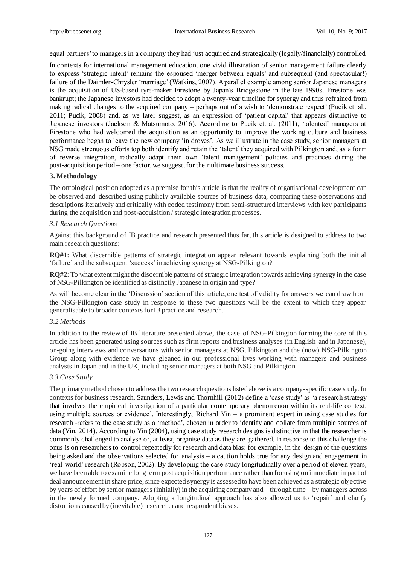equal partners' to managers in a company they had just acquired and strategically (legally/financially) controlled.

In contexts for international management education, one vivid illustration of senior management failure clearly to express 'strategic intent' remains the espoused 'merger between equals' and subsequent (and spectacular!) failure of the Daimler-Chrysler 'marriage' (Watkins, 2007). A parallel example among senior Japanese managers is the acquisition of US-based tyre-maker Firestone by Japan's Bridgestone in the late 1990s. Firestone was bankrupt; the Japanese investors had decided to adopt a twenty-year timeline for synergy and thus refrained from making radical changes to the acquired company – perhaps out of a wish to 'demonstrate respect' (Pucik et. al., 2011; Pucik, 2008) and, as we later suggest, as an expression of 'patient capital' that appears distinctive to Japanese investors (Jackson & Matsumoto, 2016). According to Pucik et. al. (2011), 'talented' managers at Firestone who had welcomed the acquisition as an opportunity to improve the working culture and business performance began to leave the new company 'in droves'. As we illustrate in the case study, senior managers at NSG made strenuous efforts top both identify and retain the 'talent' they acquired with Pilkington and, as a form of reverse integration, radically adapt their own 'talent management' policies and practices during the post-acquisition period – one factor, we suggest, for their ultimate business success.

#### **3. Methodology**

The ontological position adopted as a premise for this article is that the reality of organisational development can be observed and described using publicly available sources of business data, comparing these observations and descriptions iteratively and critically with coded testimony from semi-structured interviews with key participants during the acquisition and post-acquisition / strategic integration processes.

### *3.1 Research Questions*

Against this background of IB practice and research presented thus far, this article is designed to address to two main research questions:

**RQ#1**: What discernible patterns of strategic integration appear relevant towards explaining both the initial 'failure' and the subsequent 'success' in achieving synergy at NSG-Pilkington?

**RQ#2**: To what extent might the discernible patterns of strategic integration towards achieving synergy in the case of NSG-Pilkington be identified as distinctly Japanese in origin and type?

As will become clear in the 'Discussion' section of this article, one test of validity for answers we can draw from the NSG-Pilkington case study in response to these two questions will be the extent to which they appear generalisable to broader contexts for IB practice and research.

#### *3.2 Methods*

In addition to the review of IB literature presented above, the case of NSG-Pilkington forming the core of this article has been generated using sources such as firm reports and business analyses (in English and in Japanese), on-going interviews and conversations with senior managers at NSG, Pilkington and the (now) NSG-Pilkington Group along with evidence we have gleaned in our professional lives working with managers and business analysts in Japan and in the UK, including senior managers at both NSG and Pilkington.

#### *3.3 Case Study*

The primary method chosen to address the two research questions listed above is a company-specific case study. In contexts for business research, Saunders, Lewis and Thornhill (2012) define a 'case study' as 'a research strategy that involves the empirical investigation of a particular contemporary phenomenon within its real-life context, using multiple sources or evidence'. Interestingly, Richard Yin – a prominent expert in using case studies for research -refers to the case study as a 'method', chosen in order to identify and collate from multiple sources of data (Yin, 2014). According to Yin (2004), using case study research designs is distinctive in that the researcher is commonly challenged to analyse or, at least, organise data as they are gathered. In response to this challenge the onus is on researchers to control repeatedly for research and data bias: for example, in the design of the questions being asked and the observations selected for analysis – a caution holds true for any design and engagement in 'real world' research (Robson, 2002). By developing the case study longitudinally over a period of eleven years, we have been able to examine long term post acquisition performance rather than focusing on immediate impact of deal announcement in share price, since expected synergy is assessed to have been achieved as a strategic objective by years of effort by senior managers (initially) in the acquiring company and – through time – by managers across in the newly formed company. Adopting a longitudinal approach has also allowed us to 'repair' and clarify distortions caused by (inevitable) researcher and respondent biases.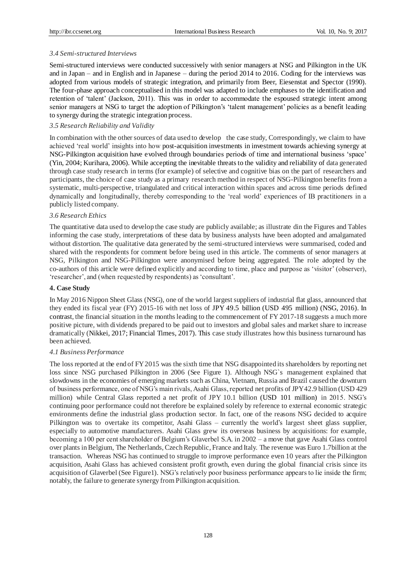### *3.4 Semi-structured Interviews*

Semi-structured interviews were conducted successively with senior managers at NSG and Pilkington in the UK and in Japan – and in English and in Japanese – during the period 2014 to 2016. Coding for the interviews was adopted from various models of strategic integration, and primarily from Beer, Eiesenstat and Spector (1990). The four-phase approach conceptualised in this model was adapted to include emphases to the identification and retention of 'talent' (Jackson, 2011). This was in order to accommodate the espoused strategic intent among senior managers at NSG to target the adoption of Pilkington's 'talent management' policies as a benefit leading to synergy during the strategic integration process.

# *3.5 Research Reliability and Validity*

In combination with the other sources of data used to develop the case study, Correspondingly, we claim to have achieved 'real world' insights into how post-acquisition investments in investment towards achieving synergy at NSG-Pilkington acquisition have evolved through boundaries periods of time and international business 'space' (Yin, 2004; Kurihara, 2006). While accepting the inevitable threats to the validity and reliability of data generated through case study research in terms (for example) of selective and cognitive bias on the part of researchers and participants, the choice of case study as a primary research method in respect of NSG-Pilkington benefits from a systematic, multi-perspective, triangulated and critical interaction within spaces and across time periods defined dynamically and longitudinally, thereby corresponding to the 'real world' experiences of IB practitioners in a publicly listed company.

### *3.6 Research Ethics*

The quantitative data used to develop the case study are publicly available; as illustrate din the Figures and Tables informing the case study, interpretations of these data by business analysts have been adopted and amalgamated without distortion. The qualitative data generated by the semi-structured interviews were summarised, coded and shared with the respondents for comment before being used in this article. The comments of senor managers at NSG, Pilkington and NSG-Pilkington were anonymised before being aggregated. The role adopted by the co-authors of this article were defined explicitly and according to time, place and purpose as 'visitor' (observer), 'researcher', and (when requested by respondents) as 'consultant'.

# **4. Case Study**

In May 2016 Nippon Sheet Glass (NSG), one of the world largest suppliers of industrial flat glass, announced that they ended its fiscal year (FY) 2015-16 with net loss of JPY 49.5 billion (USD 495 million) (NSG, 2016). In contrast, the financial situation in the months leading to the commencement of FY 2017-18 suggests a much more positive picture, with dividends prepared to be paid out to investors and global sales and market share to increase dramatically (Nikkei, 2017; Financial Times, 2017). This case study illustrates how this business turnaround has been achieved.

### *4.1 Business Performance*

The loss reported at the end of FY 2015 was the sixth time that NSG disappointed its shareholders by reporting net loss since NSG purchased Pilkington in 2006 (See Figure 1). Although NSG`s management explained that slowdowns in the economies of emerging markets such as China, Vietnam, Russia and Brazil caused the downturn of business performance, one of NSG's main rivals, Asahi Glass, reported net profits of JPY 42.9 billion (USD 429 million) while Central Glass reported a net profit of JPY 10.1 billion (USD 101 million) in 2015. NSG's continuing poor performance could not therefore be explained solely by reference to external economic strategic environments define the industrial glass production sector. In fact, one of the reasons NSG decided to acquire Pilkington was to overtake its competitor, Asahi Glass – currently the world's largest sheet glass supplier, especially to automotive manufacturers. Asahi Glass grew its overseas business by acquisitions: for example, becoming a 100 per cent shareholder of Belgium's Glaverbel S.A. in 2002 – a move that gave Asahi Glass control over plants in Belgium, The Netherlands, Czech Republic, France and Italy. The revenue was Euro 1.7billion at the transaction. Whereas NSG has continued to struggle to improve performance even 10 years after the Pilkington acquisition, Asahi Glass has achieved consistent profit growth, even during the global financial crisis since its acquisition of Glaverbel (See Figure1). NSG's relatively poor business performance appears to lie inside the firm; notably, the failure to generate synergy from Pilkington acquisition.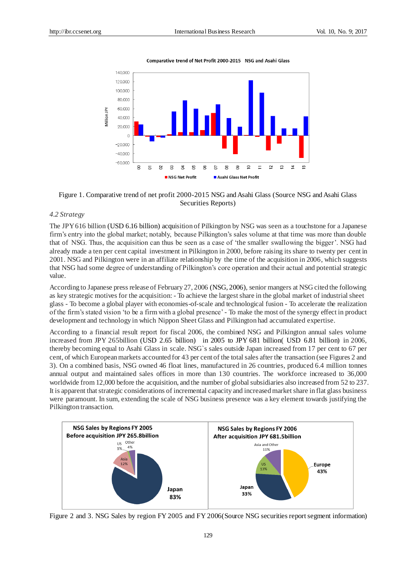



Figure 1. Comparative trend of net profit 2000-2015 NSG and Asahi Glass (Source NSG and Asahi Glass Securities Reports)

#### *4.2 Strategy*

The JPY 616 billion (USD 6.16 billion) acquisition of Pilkington by NSG was seen as a touchstone for a Japanese firm's entry into the global market; notably, because Pilkington's sales volume at that time was more than double that of NSG. Thus, the acquisition can thus be seen as a case of 'the smaller swallowing the bigger'. NSG had already made a ten per cent capital investment in Pilkington in 2000, before raising its share to twenty per cent in 2001. NSG and Pilkington were in an affiliate relationship by the time of the acquisition in 2006, which suggests that NSG had some degree of understanding of Pilkington's core operation and their actual and potential strategic value.

According to Japanese press release of February 27, 2006 (NSG, 2006), senior mangers at NSG cited the following as key strategic motives for the acquisition: - To achieve the largest share in the global market of industrial sheet glass - To become a global player with economies-of-scale and technological fusion - To accelerate the realization of the firm's stated vision 'to be a firm with a global presence'- To make the most of the synergy effect in product development and technology in which Nippon Sheet Glass and Pilkington had accumulated expertise.

According to a financial result report for fiscal 2006, the combined NSG and Pilkington annual sales volume increased from JPY 265billion (USD 2.65 billion) in 2005 to JPY 681 billion( USD 6.81 billion) in 2006, thereby becoming equal to Asahi Glass in scale. NSG`s sales outside Japan increased from 17 per cent to 67 per cent, of which European markets accounted for 43 per cent of the total sales after the transaction (see Figures 2 and 3). On a combined basis, NSG owned 46 float lines, manufactured in 26 countries, produced 6.4 million tonnes annual output and maintained sales offices in more than 130 countries. The workforce increased to 36,000 worldwide from 12,000 before the acquisition, and the number of global subsidiaries also increased from 52 to 237. It is apparent that strategic considerations of incremental capacity and increased market share in flat glass business were paramount. In sum, extending the scale of NSG business presence was a key element towards justifying the Pilkington transaction.



Figure 2 and 3. NSG Sales by region FY 2005 and FY 2006(Source NSG securities report segment information)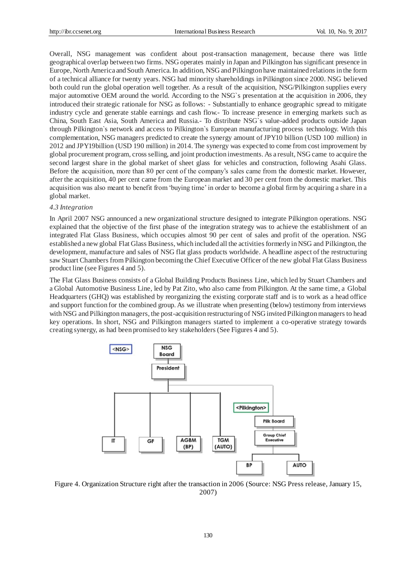Overall, NSG management was confident about post-transaction management, because there was little geographical overlap between two firms. NSG operates mainly in Japan and Pilkington has significant presence in Europe, North America and South America. In addition, NSG and Pilkington have maintained relations in the form of a technical alliance for twenty years. NSG had minority shareholdings in Pilkington since 2000. NSG believed both could run the global operation well together. As a result of the acquisition, NSG/Pilkington supplies every major automotive OEM around the world. According to the NSG`s presentation at the acquisition in 2006, they introduced their strategic rationale for NSG as follows: - Substantially to enhance geographic spread to mitigate industry cycle and generate stable earnings and cash flow.- To increase presence in emerging markets such as China, South East Asia, South America and Russia.- To distribute NSG`s value-added products outside Japan through Pilkington`s network and access to Pilkington`s European manufacturing process technology. With this complementation, NSG managers predicted to create the synergy amount of JPY10 billion (USD 100 million) in 2012 and JPY19billion (USD 190 million) in 2014. The synergy was expected to come from cost improvement by global procurement program, cross selling, and joint production investments. As a result, NSG came to acquire the second largest share in the global market of sheet glass for vehicles and construction, following Asahi Glass. Before the acquisition, more than 80 per cent of the company's sales came from the domestic market. However, after the acquisition, 40 per cent came from the European market and 30 per cent from the domestic market. This acquisition was also meant to benefit from 'buying time' in order to become a global firm by acquiring a share in a global market.

#### *4.3 Integration*

In April 2007 NSG announced a new organizational structure designed to integrate Pilkington operations. NSG explained that the objective of the first phase of the integration strategy was to achieve the establishment of an integrated Flat Glass Business, which occupies almost 90 per cent of sales and profit of the operation. NSG established a new global Flat Glass Business, which included all the activities formerly in NSG and Pilkington, the development, manufacture and sales of NSG flat glass products worldwide. A headline aspect of the restructuring saw Stuart Chambers from Pilkington becoming the Chief Executive Officer of the new global Flat Glass Business product line (see Figures 4 and 5).

The Flat Glass Business consists of a Global Building Products Business Line, which led by Stuart Chambers and a Global Automotive Business Line, led by Pat Zito, who also came from Pilkington. At the same time, a Global Headquarters (GHQ) was established by reorganizing the existing corporate staff and is to work as a head office and support function for the combined group. As we illustrate when presenting (below) testimony from interviews with NSG and Pilkington managers, the post-acquisition restructuring of NSG invited Pilkington managers to head key operations. In short, NSG and Pilkington managers started to implement a co-operative strategy towards creating synergy, as had been promised to key stakeholders (See Figures 4 and 5).



Figure 4. Organization Structure right after the transaction in 2006 (Source: NSG Press release, January 15, 2007)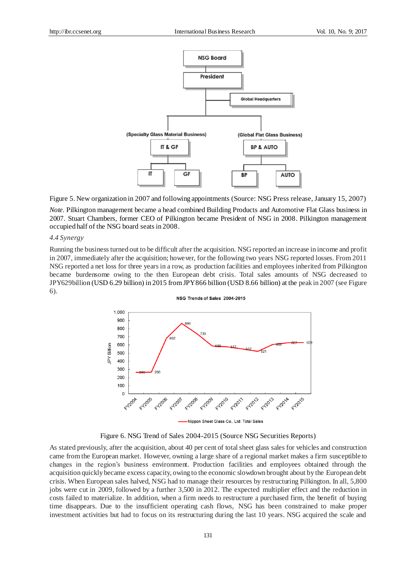

Figure 5. New organization in 2007 and following appointments (Source: NSG Press release, January 15, 2007)

*Note.* Pilkington management became a head combined Building Products and Automotive Flat Glass business in 2007. Stuart Chambers, former CEO of Pilkington became President of NSG in 2008. Pilkington management occupied half of the NSG board seats in 2008.

#### *4.4 Synergy*

Running the business turned out to be difficult after the acquisition. NSG reported an increase in income and profit in 2007, immediately after the acquisition; however, for the following two years NSG reported losses. From 2011 NSG reported a net loss for three years in a row, as production facilities and employees inherited from Pilkington became burdensome owing to the then European debt crisis. Total sales amounts of NSG decreased to JPY629billion (USD 6.29 billion) in 2015 from JPY 866 billion (USD 8.66 billion) at the peak in 2007 (see Figure 6).



#### NSG Trends of Sales 2004-2015

Nippon Sheet Glass Co., Ltd: Total Sales

Figure 6. NSG Trend of Sales 2004-2015 (Source NSG Securities Reports)

As stated previously, after the acquisition, about 40 per cent of total sheet glass sales for vehicles and construction came from the European market. However, owning a large share of a regional market makes a firm susceptible to changes in the region's business environment. Production facilities and employees obtained through the acquisition quickly became excess capacity, owing to the economic slowdown brought about by the European debt crisis. When European sales halved, NSG had to manage their resources by restructuring Pilkington. In all, 5,800 jobs were cut in 2009, followed by a further 3,500 in 2012. The expected multiplier effect and the reduction in costs failed to materialize. In addition, when a firm needs to restructure a purchased firm, the benefit of buying time disappears. Due to the insufficient operating cash flows, NSG has been constrained to make proper investment activities but had to focus on its restructuring during the last 10 years. NSG acquired the scale and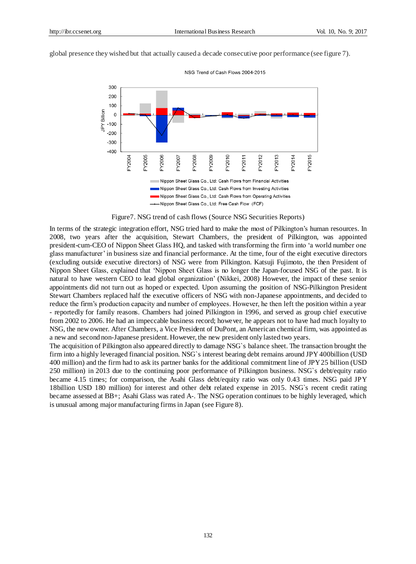global presence they wished but that actually caused a decade consecutive poor performance (see figure 7).



NSG Trend of Cash Flows 2004-2015

Figure7. NSG trend of cash flows (Source NSG Securities Reports)

In terms of the strategic integration effort, NSG tried hard to make the most of Pilkington's human resources. In 2008, two years after the acquisition, Stewart Chambers, the president of Pilkington, was appointed president-cum-CEO of Nippon Sheet Glass HQ, and tasked with transforming the firm into 'a world number one glass manufacturer' in business size and financial performance. At the time, four of the eight executive directors (excluding outside executive directors) of NSG were from Pilkington. Katsuji Fujimoto, the then President of Nippon Sheet Glass, explained that 'Nippon Sheet Glass is no longer the Japan-focused NSG of the past. It is natural to have western CEO to lead global organization' (Nikkei, 2008) However, the impact of these senior appointments did not turn out as hoped or expected. Upon assuming the position of NSG-Pilkington President Stewart Chambers replaced half the executive officers of NSG with non-Japanese appointments, and decided to reduce the firm's production capacity and number of employees. However, he then left the position within a year - reportedly for family reasons. Chambers had joined Pilkington in 1996, and served as group chief executive from 2002 to 2006. He had an impeccable business record; however, he appears not to have had much loyalty to NSG, the new owner. After Chambers, a Vice President of DuPont, an American chemical firm, was appointed as a new and second non-Japanese president. However, the new president only lasted two years.

The acquisition of Pilkington also appeared directly to damage NSG`s balance sheet. The transaction brought the firm into a highly leveraged financial position. NSG`s interest bearing debt remains around JPY 400billion (USD 400 million) and the firm had to ask its partner banks for the additional commitment line of JPY 25 billion (USD 250 million) in 2013 due to the continuing poor performance of Pilkington business. NSG`s debt/equity ratio became 4.15 times; for comparison, the Asahi Glass debt/equity ratio was only 0.43 times. NSG paid JPY 18billion USD 180 million) for interest and other debt related expense in 2015. NSG`s recent credit rating became assessed at BB+; Asahi Glass was rated A-. The NSG operation continues to be highly leveraged, which is unusual among major manufacturing firms in Japan (see Figure 8).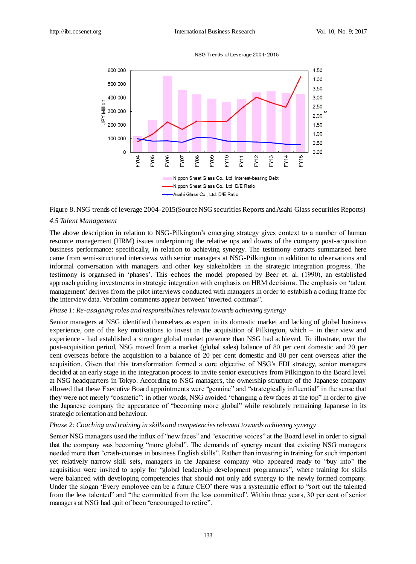NSG Trends of Leverage 2004-2015



Figure 8. NSG trends of leverage 2004-2015(Source NSG securities Reports and Asahi Glass securities Reports)

# *4.5 Talent Management*

The above description in relation to NSG-Pilkington's emerging strategy gives context to a number of human resource management (HRM) issues underpinning the relative ups and downs of the company post-acquisition business performance: specifically, in relation to achieving synergy. The testimony extracts summarised here came from semi-structured interviews with senior managers at NSG-Pilkington in addition to observations and informal conversation with managers and other key stakeholders in the strategic integration progress. The testimony is organised in 'phases'. This echoes the model proposed by Beer et. al. (1990), an established approach guiding investments in strategic integration with emphasis on HRM decisions. The emphasis on 'talent management' derives from the pilot interviews conducted with managers in order to establish a coding frame for the interview data. Verbatim comments appear between "inverted commas".

#### *Phase 1: Re-assigning roles and responsibilities relevant towards achieving synergy*

Senior managers at NSG identified themselves as expert in its domestic market and lacking of global business experience, one of the key motivations to invest in the acquisition of Pilkington, which – in their view and experience - had established a stronger global market presence than NSG had achieved. To illustrate, over the post-acquisition period, NSG moved from a market (global sales) balance of 80 per cent domestic and 20 per cent overseas before the acquisition to a balance of 20 per cent domestic and 80 per cent overseas after the acquisition. Given that this transformation formed a core objective of NSG's FDI strategy, senior managers decided at an early stage in the integration process to invite senior executives from Pilkington to the Board level at NSG headquarters in Tokyo. According to NSG managers, the ownership structure of the Japanese company allowed that these Executive Board appointments were "genuine" and "strategically influential" in the sense that they were not merely "cosmetic": in other words, NSG avoided "changing a few faces at the top" in order to give the Japanese company the appearance of "becoming more global" while resolutely remaining Japanese in its strategic orientation and behaviour.

#### *Phase 2: Coaching and training in skills and competencies relevant towards achieving synergy*

Senior NSG managers used the influx of "new faces" and "executive voices" at the Board level in order to signal that the company was becoming "more global". The demands of synergy meant that existing NSG managers needed more than "crash-courses in business English skills". Rather than investing in training for such important yet relatively narrow skill–sets, managers in the Japanese company who appeared ready to "buy into" the acquisition were invited to apply for "global leadership development programmes", where training for skills were balanced with developing competencies that should not only add synergy to the newly formed company. Under the slogan 'Every employee can be a future CEO' there was a systematic effort to "sort out the talented from the less talented" and "the committed from the less committed". Within three years, 30 per cent of senior managers at NSG had quit of been "encouraged to retire".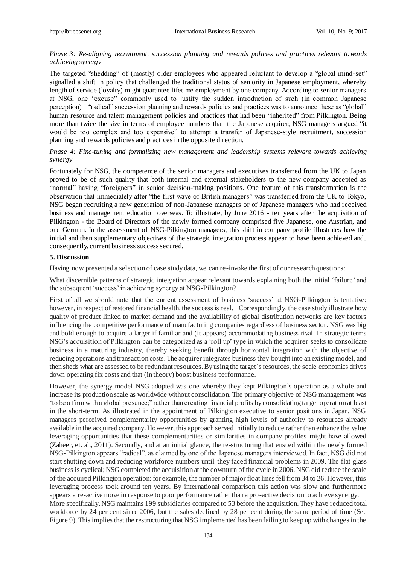## *Phase 3: Re-aligning recruitment, succession planning and rewards policies and practices relevant towards achieving synergy*

The targeted "shedding" of (mostly) older employees who appeared reluctant to develop a "global mind-set" signalled a shift in policy that challenged the traditional status of seniority in Japanese employment, whereby length of service (loyalty) might guarantee lifetime employment by one company. According to senior managers at NSG, one "excuse" commonly used to justify the sudden introduction of such (in common Japanese perception) "radical" succession planning and rewards policies and practices was to announce these as "global" human resource and talent management policies and practices that had been "inherited" from Pilkington. Being more than twice the size in terms of employee numbers than the Japanese acquirer, NSG managers argued "it would be too complex and too expensive" to attempt a transfer of Japanese-style recruitment, succession planning and rewards policies and practices in the opposite direction.

*Phase 4: Fine-tuning and formalizing new management and leadership systems relevant towards achieving synergy*

Fortunately for NSG, the competence of the senior managers and executives transferred from the UK to Japan proved to be of such quality that both internal and external stakeholders to the new company accepted as "normal" having "foreigners" in senior decision-making positions. One feature of this transformation is the observation that immediately after "the first wave of British managers" was transferred from the UK to Tokyo, NSG began recruiting a new generation of non-Japanese managers or of Japanese managers who had received business and management education overseas. To illustrate, by June 2016 - ten years after the acquisition of Pilkington - the Board of Directors of the newly formed company comprised five Japanese, one Austrian, and one German. In the assessment of NSG-Pilkington managers, this shift in company profile illustrates how the initial and then supplementary objectives of the strategic integration process appear to have been achieved and, consequently, current business success secured.

### **5. Discussion**

Having now presented a selection of case study data, we can re-invoke the first of our research questions:

What discernible patterns of strategic integration appear relevant towards explaining both the initial 'failure' and the subsequent 'success' in achieving synergy at NSG-Pilkington?

First of all we should note that the current assessment of business 'success' at NSG-Pilkington is tentative: however, in respect of restored financial health, the success is real. Correspondingly, the case study illustrate how quality of product linked to market demand and the availability of global distribution networks are key factors influencing the competitive performance of manufacturing companies regardless of business sector. NSG was big and bold enough to acquire a larger if familiar and (it appears) accommodating business rival. In strategic terms NSG's acquisition of Pilkington can be categorized as a 'roll up' type in which the acquirer seeks to consolidate business in a maturing industry, thereby seeking benefit through horizontal integration with the objective of reducing operations and transaction costs. The acquirer integrates business they bought into an existing model, and then sheds what are assessed to be redundant resources. By using the target`s resources, the scale economics drives down operating fix costs and that (in theory) boost business performance.

However, the synergy model NSG adopted was one whereby they kept Pilkington`s operation as a whole and increase its production scale as worldwide without consolidation. The primary objective of NSG management was "to be a firm with a global presence;" rather than creating financial profits by consolidating target operation at least in the short-term. As illustrated in the appointment of Pilkington executive to senior positions in Japan, NSG managers perceived complementarity opportunities by granting high levels of authority to resources already available in the acquired company. However, this approach served initially to reduce rather than enhance the value leveraging opportunities that these complementarities or similarities in company profiles might have allowed (Zaheer, et. al., 2011). Secondly, and at an initial glance, the re-structuring that ensued within the newly formed NSG-Pilkington appears "radical", as claimed by one of the Japanese managers interviewed. In fact, NSG did not start shutting down and reducing workforce numbers until they faced financial problems in 2009. The flat glass business is cyclical; NSG completed the acquisition at the downturn of the cycle in 2006. NSG did reduce the scale of the acquired Pilkington operation: for example, the number of major float lines fell from 34 to 26. However, this leveraging process took around ten years. By international comparison this action was slow and furthermore appears a re-active move in response to poor performance rather than a pro-active decision to achieve synergy. More specifically, NSG maintains 199 subsidiaries compared to 53 before the acquisition. They have reduced total

workforce by 24 per cent since 2006, but the sales declined by 28 per cent during the same period of time (See Figure 9). This implies that the restructuring that NSG implemented has been failing to keep up with changes in the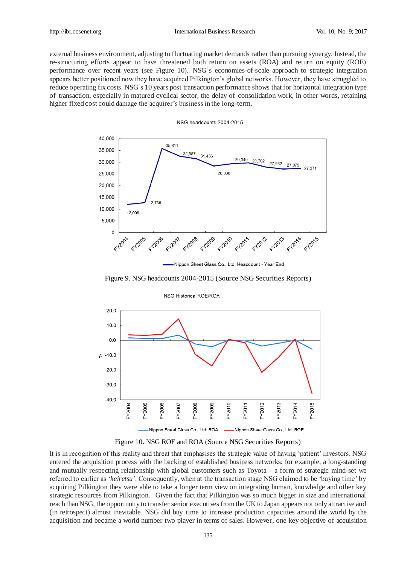external business environment, adjusting to fluctuating market demands rather than pursuing synergy. Instead, the re-structuring efforts appear to have threatened both return on assets (ROA) and return on equity (ROE) performance over recent years (see Figure 10). NSG`s economies-of-scale approach to strategic integration appears better positioned now they have acquired Pilkington's global networks. However, they have struggled to reduce operating fix costs. NSG`s 10 years post transaction performance shows that for horizontal integration type of transaction, especially in matured cyclical sector, the delay of consolidation work, in other words, retaining higher fixed cost could damage the acquirer's business in the long-term.

#### NSG headcounts 2004-2015



Nippon Sheet Glass Co., Ltd: Headcount - Year End

Figure 9. NSG headcounts 2004-2015 (Source NSG Securities Reports)

NSG Historical ROE/ROA



Figure 10. NSG ROE and ROA (Source NSG Securities Reports)

It is in recognition of this reality and threat that emphasises the strategic value of having 'patient' investors. NSG entered the acquisition process with the backing of established business networks: for example, a long-standing and mutually respecting relationship with global customers such as Toyota - a form of strategic mind-set we referred to earlier as '*keiretsu*'. Consequently, when at the transaction stage NSG claimed to be 'buying time' by acquiring Pilkington they were able to take a longer term view on integrating human, knowledge and other key strategic resources from Pilkington. Given the fact that Pilkington was so much bigger in size and international reach than NSG, the opportunity to transfer senior executives from the UK to Japan appears not only attractive and (in retrospect) almost inevitable. NSG did buy time to increase production capacities around the world by the acquisition and became a world number two player in terms of sales. However, one key objective of acquisition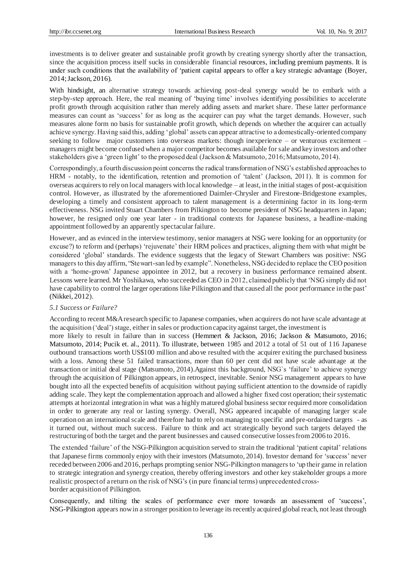investments is to deliver greater and sustainable profit growth by creating synergy shortly after the transaction, since the acquisition process itself sucks in considerable financial resources, including premium payments. It is under such conditions that the availability of 'patient capital appears to offer a key strategic advantage (Boyer, 2014; Jackson, 2016).

With hindsight, an alternative strategy towards achieving post-deal synergy would be to embark with a step-by-step approach. Here, the real meaning of 'buying time' involves identifying possibilities to accelerate profit growth through acquisition rather than merely adding assets and market share. These latter performance measures can count as 'success' for as long as the acquirer can pay what the target demands. However, such measures alone form no basis for sustainable profit growth, which depends on whether the acquirer can actually achieve synergy. Having said this, adding 'global' assets can appear attractive to a domestically-oriented company seeking to follow major customers into overseas markets: though inexperience – or venturous excitement – managers might become confused when a major competitor becomes available for sale and key investors and other stakeholders give a 'green light' to the proposed deal (Jackson & Matsumoto, 2016; Matsumoto, 2014).

Correspondingly, a fourth discussion point concerns the radical transformation of NSG's established approaches to HRM - notably, to the identification, retention and promotion of 'talent' (Jackson, 2011). It is common for overseas acquirers to rely on local managers with local knowledge – at least, in the initial stages of post-acquisition control. However, as illustrated by the aforementioned Daimler-Chrysler and Firestone-Bridgestone examples, developing a timely and consistent approach to talent management is a determining factor in its long-term effectiveness. NSG invited Stuart Chambers from Pilkington to become president of NSG headquarters in Japan; however, he resigned only one year later - in traditional contexts for Japanese business, a headline-making appointment followed by an apparently spectacular failure.

However, and as evinced in the interview testimony, senior managers at NSG were looking for an opportunity (or excuse?) to reform and (perhaps) 'rejuvenate' their HRM polices and practices, aligning them with what might be considered 'global' standards. The evidence suggests that the legacy of Stewart Chambers was positive: NSG managers to this day affirm, "Stewart-san led by example". Nonetheless, NSG decided to replace the CEO position with a 'home-grown' Japanese appointee in 2012, but a recovery in business performance remained absent. Lessons were learned. Mr Yoshikawa, who succeeded as CEO in 2012, claimed publicly that 'NSG simply did not have capability to control the larger operations like Pilkington and that caused all the poor performance in the past' (Nikkei, 2012).

#### *5.1 Success or Failure?*

According to recent M&A research specific to Japanese companies, when acquirers do not have scale advantage at the acquisition ('deal') stage, either in sales or production capacity against target, the investment is

more likely to result in failure than in success (Hemmert & Jackson, 2016; Jackson & Matsumoto, 2016; Matsumoto, 2014; Pucik et. al., 2011). To illustrate, between 1985 and 2012 a total of 51 out of 116 Japanese outbound transactions worth US\$100 million and above resulted with the acquirer exiting the purchased business with a loss. Among these 51 failed transactions, more than 60 per cent did not have scale advantage at the transaction or initial deal stage (Matsumoto, 2014).Against this background, NSG`s 'failure' to achieve synergy through the acquisition of Pilkington appears, in retrospect, inevitable. Senior NSG management appears to have bought into all the expected benefits of acquisition without paying sufficient attention to the downside of rapidly adding scale. They kept the complementation approach and allowed a higher fixed cost operation; their systematic attempts at horizontal integration in what was a highly matured global business sector required more consolidation in order to generate any real or lasting synergy. Overall, NSG appeared incapable of managing larger scale operation on an international scale and therefore had to rely on managing to specific and pre-ordained targets - as it turned out, without much success. Failure to think and act strategically beyond such targets delayed the restructuring of both the target and the parent businesses and caused consecutive losses from 2006 to 2016.

The extended 'failure' of the NSG-Pilkington acquisition served to strain the traditional 'patient capital' relations that Japanese firms commonly enjoy with their investors (Matsumoto, 2014). Investor demand for 'success' never receded between 2006 and 2016, perhaps prompting senior NSG-Pilkington managers to 'up their game in relation to strategic integration and synergy creation, thereby offering investors and other key stakeholder groups a more realistic prospect of a return on the risk of NSG's (in pure financial terms) unprecedented crossborder acquisition of Pilkington.

Consequently, and tilting the scales of performance ever more towards an assessment of 'success', NSG-Pilkington appears now in a stronger position to leverage its recently acquired global reach, not least through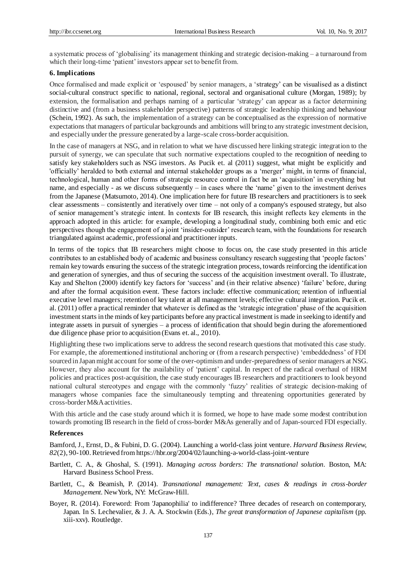a systematic process of 'globalising' its management thinking and strategic decision-making – a turnaround from which their long-time 'patient' investors appear set to benefit from.

#### **6. Implications**

Once formalised and made explicit or 'espoused' by senior managers, a 'strategy' can be visualised as a distinct social-cultural construct specific to national, regional, sectoral and organisational culture (Morgan, 1989); by extension, the formalisation and perhaps naming of a particular 'strategy' can appear as a factor determining distinctive and (from a business stakeholder perspective) patterns of strategic leadership thinking and behaviour (Schein, 1992). As such, the implementation of a strategy can be conceptualised as the expression of normative expectations that managers of particular backgrounds and ambitions will bring to any strategic investment decision, and especially under the pressure generated by a large-scale cross-border acquisition.

In the case of managers at NSG, and in relation to what we have discussed here linking strategic integration to the pursuit of synergy, we can speculate that such normative expectations coupled to the recognition of needing to satisfy key stakeholders such as NSG investors. As Pucik et. al (2011) suggest, what might be explicitly and 'officially' heralded to both external and internal stakeholder groups as a 'merger' might, in terms of financial, technological, human and other forms of strategic resource control in fact be an 'acquisition' in everything but name, and especially - as we discuss subsequently – in cases where the 'name' given to the investment derives from the Japanese (Matsumoto, 2014). One implication here for future IB researchers and practitioners is to seek clear assessments – consistently and iteratively over time – not only of a company's espoused strategy, but also of senior management's strategic intent. In contexts for IB research, this insight reflects key elements in the approach adopted in this article: for example, developing a longitudinal study, combining both emic and etic perspectives though the engagement of a joint 'insider-outsider' research team, with the foundations for research triangulated against academic, professional and practitioner inputs.

In terms of the topics that IB researchers might choose to focus on, the case study presented in this article contributes to an established body of academic and business consultancy research suggesting that 'people factors' remain key towards ensuring the success of the strategic integration process, towards reinforcing the identification and generation of synergies, and thus of securing the success of the acquisition investment overall. To illustrate, Kay and Shelton (2000) identify key factors for 'success' and (in their relative absence) 'failure' before, during and after the formal acquisition event. These factors include: effective communication; retention of influential executive level managers; retention of key talent at all management levels; effective cultural integration. Pucik et. al. (2011) offer a practical reminder that whatever is defined as the 'strategic integration' phase of the acquisition investment starts in the minds of key participants before any practical investment is made in seeking to identify and integrate assets in pursuit of synergies – a process of identification that should begin during the aforementioned due diligence phase prior to acquisition (Evans et. al., 2010).

Highlighting these two implications serve to address the second research questions that motivated this case study. For example, the aforementioned institutional anchoring or (from a research perspective) 'embeddedness' of FDI sourced in Japan might account for some of the over-optimism and under-preparedness of senior managers at NSG. However, they also account for the availability of 'patient' capital. In respect of the radical overhaul of HRM policies and practices post-acquisition, the case study encourages IB researchers and practitioners to look beyond national cultural stereotypes and engage with the commonly 'fuzzy' realities of strategic decision-making of managers whose companies face the simultaneously tempting and threatening opportunities generated by cross-border M&A activities.

With this article and the case study around which it is formed, we hope to have made some modest contribution towards promoting IB research in the field of cross-border M&As generally and of Japan-sourced FDI especially.

#### **References**

Bamford, J., Ernst, D., & Fubini, D. G. (2004). Launching a world-class joint venture. *Harvard Business Review, 82*(2), 90-100. Retrieved from https://hbr.org/2004/02/launching-a-world-class-joint-venture

- Bartlett, C. A., & Ghoshal, S. (1991). *Managing across borders: The transnational solution.* Boston, MA: Harvard Business School Press.
- Bartlett, C., & Beamish, P. (2014). *Transnational management: Text, cases & readings in cross-border Management.* New York, NY: McGraw-Hill.
- Boyer, R. (2014). Foreword: From 'Japanophilia' to indifference? Three decades of research on contemporary, Japan*.* In S. Lechevalier, & J. A. A. Stockwin (Eds.), *The great transformation of Japanese capitalism* (pp. xiii-xxv). Routledge.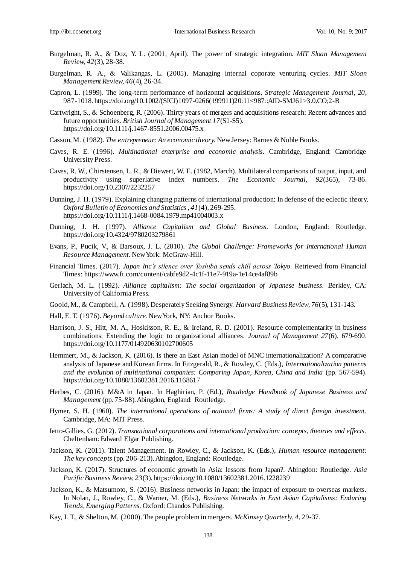- Burgelman, R. A., & Doz, Y. L. (2001, April). The power of strategic integration. *MIT Sloan Management Review, 42*(3), 28-38.
- Burgelman, R. A., & Valikangas, L. (2005). Managing internal coporate venturing cycles. *MIT Sloan Management Review, 46*(4), 26-34.
- Capron, L. (1999). The long-term performance of horizontal acquisitions. *Strategic Management Journal, 20*, 987-1018. https://doi.org/10.1002/(SICI)1097-0266(199911)20:11<987::AID-SMJ61>3.0.CO;2-B
- Cartwright, S., & Schoenberg, R. (2006). Thirty years of mergers and acquisitions research: Recent advances and future opportunities. *British Journal of Management 17*(S1-S5). https://doi.org/10.1111/j.1467-8551.2006.00475.x
- Casson, M. (1982). *The entrepreneur: An economic theory.* New Jersey: Barnes & Noble Books.
- Caves, R. E. (1996). *Multinational enterprise and economic analysis.* Cambridge, England: Cambridge University Press.
- Caves, R. W., Chirstensen, L. R., & Diewert, W. E. (1982, March). Multilateral comparisons of output, input, and productivity using superlative index numbers. *The Economic Journal, 92*(365), 73-86. https://doi.org/10.2307/2232257
- Dunning, J. H. (1979). Explaining changing patterns of international production: In defense of the eclectic theory. *Oxford Bulletin of Economics and Statistics , 41*(4), 269-295. https://doi.org/10.1111/j.1468-0084.1979.mp41004003.x
- Dunning, J. H. (1997). *Alliance Capitalism and Global Business.* London, England: Routledge. https://doi.org/10.4324/9780203279861
- Evans, P., Pucik, V., & Barsoux, J. L. (2010). *The Global Challenge: Frameworks for International Human Resource Management.* New York: McGraw-Hill.
- Financial Times. (2017). *Japan Inc's silence over Toshiba sends chill across Tokyo.* Retrieved from Financial Times: https://www.ft.com/content/cabfe9d2-4c1f-11e7-919a-1e14ce4af89b
- Gerlach, M. L. (1992). *Alliance capitalism: The social organization of Japanese business.* Berkley, CA: University of California Press.
- Goold, M., & Campbell, A. (1998). Desperately Seeking Synergy. *Harvard Business Review, 76*(5), 131-143.
- Hall, E. T. (1976). *Beyond culture.* New York, NY: Anchor Books.
- Harrison, J. S., Hitt, M. A., Hoskisson, R. E., & Ireland, R. D. (2001). Resource complementarity in business combinations: Extending the logic to organizational alliances. *Journal of Management 27*(6), 679-690. https://doi.org/10.1177/014920630102700605
- Hemmert, M., & Jackson, K. (2016). Is there an East Asian model of MNC internationalization? A comparative analysis of Japanese and Korean firms. In Fitzgerald, R., & Rowley, C. (Eds.), *Internationalization patterns and the evolution of multinational companies: Comparing Japan, Korea, China and India* (pp. 567-594). https://doi.org/10.1080/13602381.2016.1168617
- Herbes, C. (2016). M&A in Japan. In Haghirian, P. (Ed.), *Routledge Handbook of Japanese Business and Management* (pp. 75-88). Abingdon, England: Routledge.
- Hymer, S. H. (1960). *The international operations of national firms: A study of direct foreign investment.* Cambridge, MA: MIT Press.
- Ietto-Gillies, G. (2012). *Transnational corporations and international production: concepts, theories and effects.* Cheltenham: Edward Elgar Publishing.
- Jackson, K. (2011). Talent Management. In Rowley, C., & Jackson, K. (Eds.), *Human resource management: The key concepts* (pp. 206-213). Abingdon, England: Routledge.
- Jackson, K. (2017). Structures of economic growth in Asia: lessons from Japan?. Abingdon: Routledge. *Asia Pacific Business Review, 23*(3). https://doi.org/10.1080/13602381.2016.1228239
- Jackson, K., & Matsumoto, S. (2016). Business networks in Japan: the impact of exposure to overseas markets. In Nolan, J., Rowley, C., & Warner, M. (Eds.), *Business Networks in East Asian Capitalisms: Enduring Trends, Emerging Patterns.* Oxford: Chandos Publishing.
- Kay, I. T., & Shelton, M. (2000). The people problem in mergers. *McKinsey Quarterly, 4*, 29-37.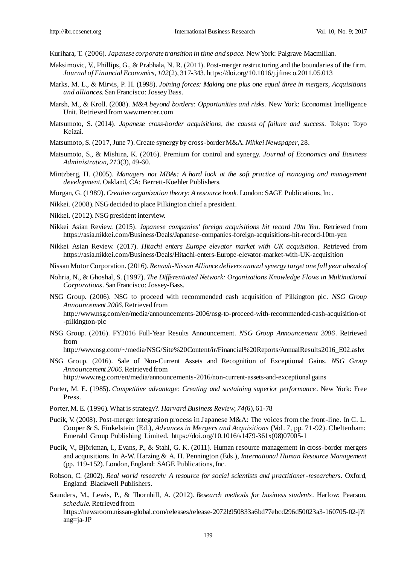Kurihara, T. (2006). *Japanese corporate transition in time and space.* New York: Palgrave Macmillan.

- Maksimovic, V., Phillips, G., & Prabhala, N. R. (2011). Post-merger restructuring and the boundaries of the firm. *Journal of Financial Economics, 102*(2), 317-343. https://doi.org/10.1016/j.jfineco.2011.05.013
- Marks, M. L., & Mirvis, P. H. (1998). *Joining forces: Making one plus one equal three in mergers, Acquisitions and alliances.* San Francisco: Jossey Bass.
- Marsh, M., & Kroll. (2008). *M&A beyond borders: Opportunities and risks.* New York: Economist Intelligence Unit. Retrieved from www.mercer.com
- Matsumoto, S. (2014). *Japanese cross-border acquisitions, the causes of failure and success.* Tokyo: Toyo Keizai.
- Matsumoto, S. (2017, June 7). Create synergy by cross-border M&A. *Nikkei Newspaper*, 28.
- Matsumoto, S., & Mishina, K. (2016). Premium for control and synergy. *Journal of Economics and Business Administration, 213*(3), 49-60.
- Mintzberg, H. (2005). *Managers not MBAs: A hard look at the soft practice of managing and management development.* Oakland, CA: Berrett-Koehler Publishers.
- Morgan, G. (1989). *Creative organization theory: A resource book.* London: SAGE Publications, Inc.
- Nikkei. (2008). NSG decided to place Pilkington chief a president.
- Nikkei. (2012). NSG president interview.
- Nikkei Asian Review. (2015). *Japanese companies' foreign acquisitions hit record 10tn Yen*. Retrieved from https://asia.nikkei.com/Business/Deals/Japanese-companies-foreign-acquisitions-hit-record-10tn-yen
- Nikkei Asian Review. (2017). *Hitachi enters Europe elevator market with UK acquisition*. Retrieved from https://asia.nikkei.com/Business/Deals/Hitachi-enters-Europe-elevator-market-with-UK-acquisition
- Nissan Motor Corporation.(2016). *Renault-Nissan Alliance delivers annual synergy target one full year ahead of*
- Nohria, N., & Ghoshal, S. (1997). *The Differentiated Network: Organizations Knowledge Flows in Multinational Corporations*. San Francisco: Jossey-Bass.
- NSG Group. (2006). NSG to proceed with recommended cash acquisition of Pilkington plc. *NSG Group Announcement 2006*. Retrieved from

http://www.nsg.com/en/media/announcements-2006/nsg-to-proceed-with-recommended-cash-acquisition-of -pilkington-plc

- NSG Group. (2016). FY2016 Full-Year Results Announcement. *NSG Group Announcement 2006*. Retrieved from
	- http://www.nsg.com/~/media/NSG/Site%20Content/ir/Financial%20Reports/AnnualResults2016\_E02.ashx
- NSG Group. (2016). Sale of Non-Current Assets and Recognition of Exceptional Gains. *NSG Group Announcement 2006*. Retrieved from

http://www.nsg.com/en/media/announcements-2016/non-current-assets-and-exceptional gains

- Porter, M. E. (1985). *Competitive advantage: Creating and sustaining superior performance*. New York: Free Press.
- Porter, M. E. (1996). What is strategy?. *Harvard Business Review, 74(*6), 61-78
- Pucik, V. (2008). Post-merger integration process in Japanese M&A: The voices from the front-line. In C. L. Cooper & S. Finkelstein (Ed.), *Advances in Mergers and Acquisitions* (Vol. 7, pp. 71-92). Cheltenham: Emerald Group Publishing Limited. https://doi.org/10.1016/s1479-361x(08)07005-1
- Pucik, V., Björkman, I., Evans, P., & Stahl, G. K. (2011). Human resource management in cross-border mergers and acquisitions. In A-W. Harzing & A. H. Pennington (Eds.), *International Human Resource Management* (pp. 119-152). London, England: SAGE Publications, Inc.
- Robson, C. (2002). *Real world research: A resource for social scientists and practitioner-researchers*. Oxford, England: Blackwell Publishers.
- Saunders, M., Lewis, P., & Thornhill, A. (2012). *Research methods for business students*. Harlow: Pearson. *schedule.* Retrieved from

https://newsroom.nissan-global.com/releases/release-2072b950833a6bd77ebcd296d50023a3-160705-02-j?l ang=ja-JP